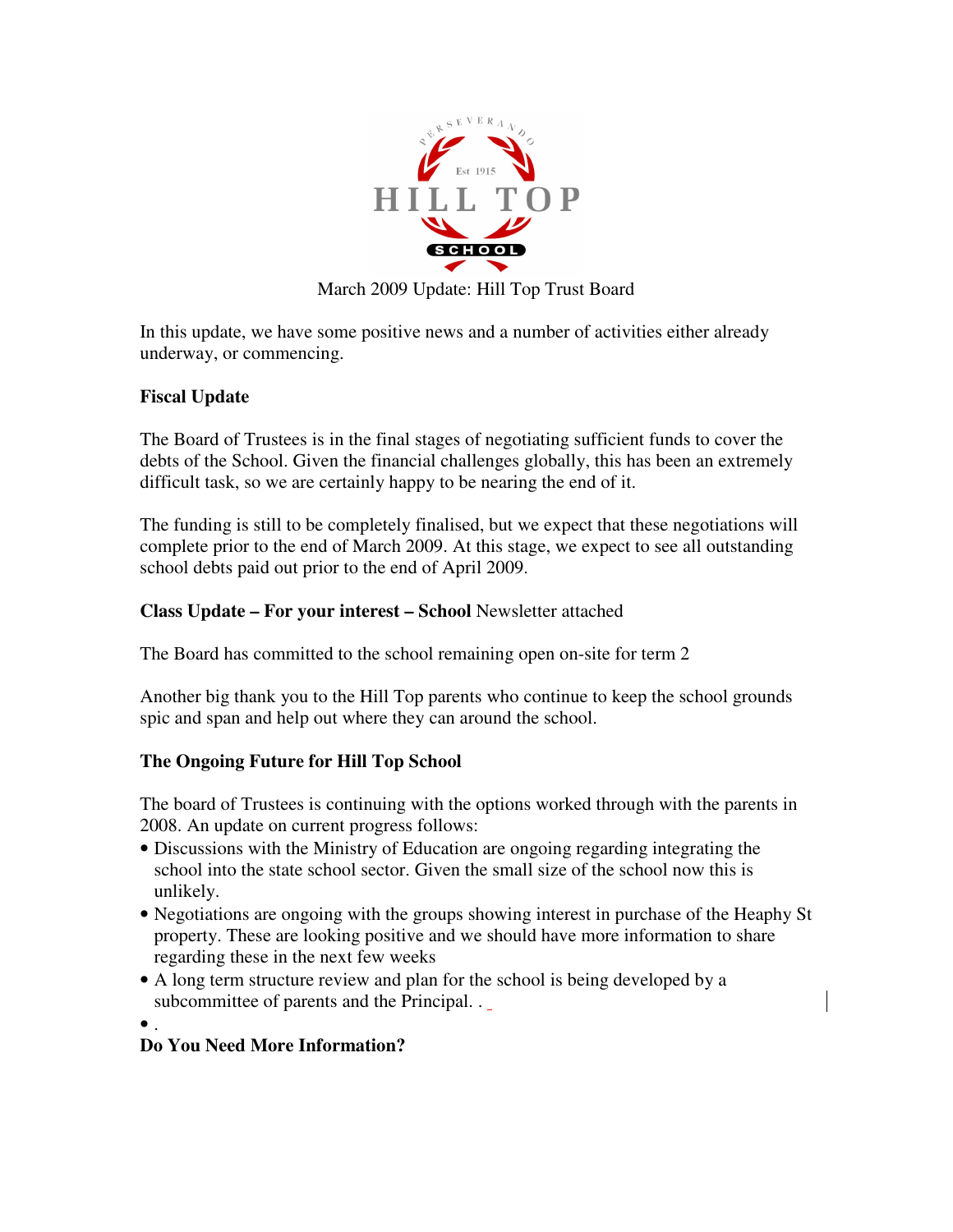

March 2009 Update: Hill Top Trust Board

In this update, we have some positive news and a number of activities either already underway, or commencing.

## **Fiscal Update**

The Board of Trustees is in the final stages of negotiating sufficient funds to cover the debts of the School. Given the financial challenges globally, this has been an extremely difficult task, so we are certainly happy to be nearing the end of it.

The funding is still to be completely finalised, but we expect that these negotiations will complete prior to the end of March 2009. At this stage, we expect to see all outstanding school debts paid out prior to the end of April 2009.

## **Class Update – For your interest – School** Newsletter attached

The Board has committed to the school remaining open on-site for term 2

Another big thank you to the Hill Top parents who continue to keep the school grounds spic and span and help out where they can around the school.

## **The Ongoing Future for Hill Top School**

The board of Trustees is continuing with the options worked through with the parents in 2008. An update on current progress follows:

- Discussions with the Ministry of Education are ongoing regarding integrating the school into the state school sector. Given the small size of the school now this is unlikely.
- Negotiations are ongoing with the groups showing interest in purchase of the Heaphy St property. These are looking positive and we should have more information to share regarding these in the next few weeks
- A long term structure review and plan for the school is being developed by a subcommittee of parents and the Principal. .
- $\bullet$ .

## **Do You Need More Information?**